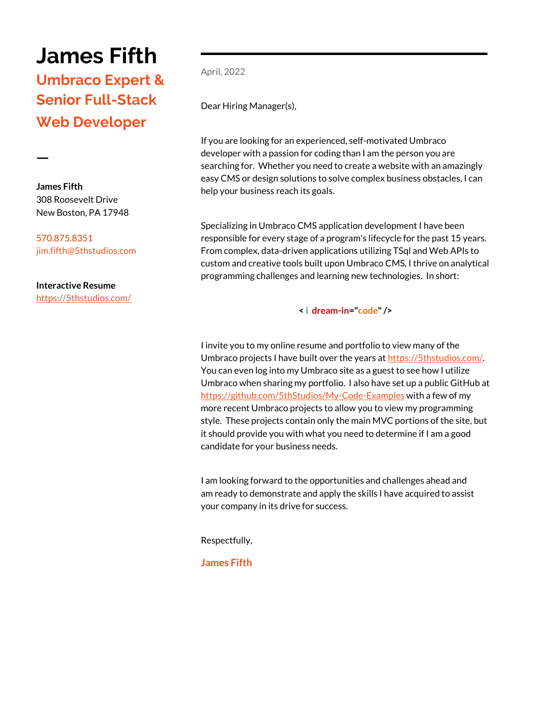# **James Fifth**

## **Umbraco Expert & Senior Full-Stack Web Developer**

**James Fifth** 308 Roosevelt Drive New Boston, PA 17948

**ㅡ**

570.875.8351 [jim.fifth@5thstudios.com](mailto:jim.fifth@5thstudios.com)

**Interactive Resume** <https://5thstudios.com/> April, 2022

Dear Hiring Manager(s),

If you are looking for an experienced, self-motivated Umbraco developer with a passion for coding than I am the person you are searching for. Whether you need to create a website with an amazingly easy CMS or design solutions to solve complex business obstacles, I can help your business reach its goals.

Specializing in Umbraco CMS application development I have been responsible for every stage of a program's lifecycle for the past 15 years. From complex, data-driven applications utilizing TSql and Web APIs to custom and creative tools built upon Umbraco CMS, I thrive on analytical programming challenges and learning new technologies. In short:

**< i dream-in="code" />**

I invite you to my online resume and portfolio to view many of the Umbraco projects I have built over the years a[t https://5thstudios.com/.](https://5thstudios.com/) You can even log into my Umbraco site as a guest to see how I utilize Umbraco when sharing my portfolio. I also have set up a public GitHub at <https://github.com/5thStudios/My-Code-Examples> with a few of my more recent Umbraco projects to allow you to view my programming style. These projects contain only the main MVC portions of the site, but it should provide you with what you need to determine if I am a good candidate for your business needs.

I am looking forward to the opportunities and challenges ahead and am ready to demonstrate and apply the skills I have acquired to assist your company in its drive for success.

Respectfully,

**James Fifth**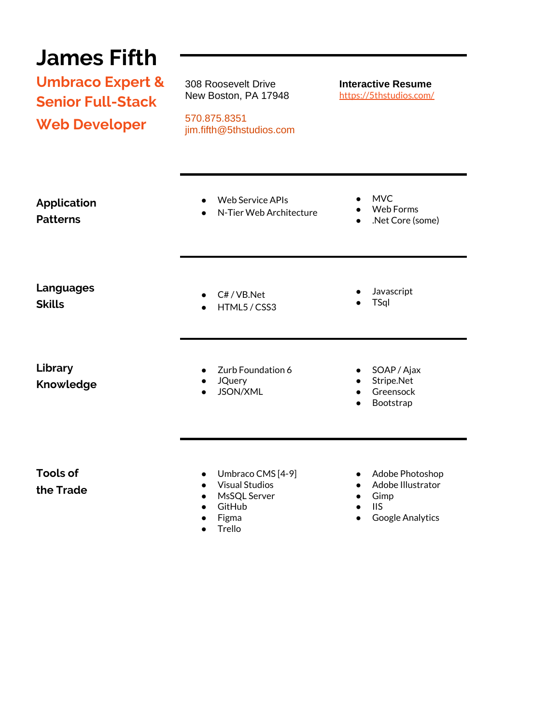#### **James Fifth Umbraco Expert & Senior Full-Stack Web Developer** 308 Roosevelt Drive New Boston, PA 17948 **Interactive Resume** <https://5thstudios.com/> 570.875.8351 jim.fifth@5thstudios.com **Application Patterns Languages Skills Library Knowledge Tools of the Trade** ● Web Service APIs ● N-Tier Web Architecture ● MVC Web Forms ● .Net Core (some) ● C# / VB.Net ● HTML5 / CSS3 **Javascript** ● TSql Zurb Foundation 6 ● JQuery ● JSON/XML ● SOAP / Ajax Stripe.Net ● Greensock **Bootstrap** ● Umbraco CMS [4-9] ● Visual Studios ● MsSQL Server ● GitHub ● Adobe Photoshop ● Adobe Illustrator ● Gimp

- Figma
- **Trello**
- IIS
- Google Analytics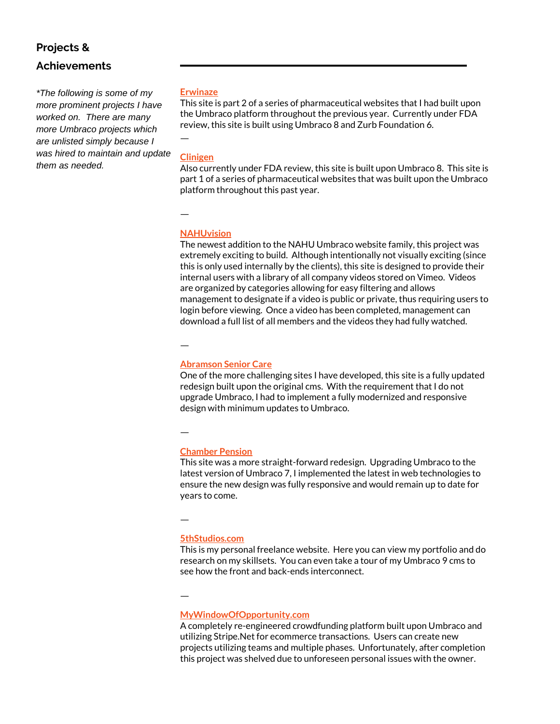## **Projects &**

### **Achievements**

*\*The following is some of my more prominent projects I have worked on. There are many more Umbraco projects which are unlisted simply because I was hired to maintain and update them as needed.*

#### **Erwinaze**

This site is part 2 of a series of pharmaceutical websites that I had built upon the Umbraco platform throughout the previous year. Currently under FDA review, this site is built using Umbraco 8 and Zurb Foundation 6.

#### **Clinigen**

ㅡ

Also currently under FDA review, this site is built upon Umbraco 8. This site is part 1 of a series of pharmaceutical websites that was built upon the Umbraco platform throughout this past year.

ㅡ

#### **[NAHUvision](https://videos.nahu.org/)**

The newest addition to the NAHU Umbraco website family, this project was extremely exciting to build. Although intentionally not visually exciting (since this is only used internally by the clients), this site is designed to provide their internal users with a library of all company videos stored on Vimeo. Videos are organized by categories allowing for easy filtering and allows management to designate if a video is public or private, thus requiring users to login before viewing. Once a video has been completed, management can download a full list of all members and the videos they had fully watched.

ㅡ

#### **[Abramson Senior Care](https://abramsonseniorcare.org/)**

One of the more challenging sites I have developed, this site is a fully updated redesign built upon the original cms. With the requirement that I do not upgrade Umbraco, I had to implement a fully modernized and responsive design with minimum updates to Umbraco.

ㅡ

#### **[Chamber Pension](https://chamberpension.ky/)**

This site was a more straight-forward redesign. Upgrading Umbraco to the latest version of Umbraco 7, I implemented the latest in web technologies to ensure the new design was fully responsive and would remain up to date for years to come.

ㅡ

ㅡ

#### **[5thStudios.com](https://5thstudios.com/)**

This is my personal freelance website. Here you can view my portfolio and do research on my skillsets. You can even take a tour of my Umbraco 9 cms to see how the front and back-ends interconnect.

### **MyWindowOfOpportunity.com**

A completely re-engineered crowdfunding platform built upon Umbraco and utilizing Stripe.Net for ecommerce transactions. Users can create new projects utilizing teams and multiple phases. Unfortunately, after completion this project was shelved due to unforeseen personal issues with the owner.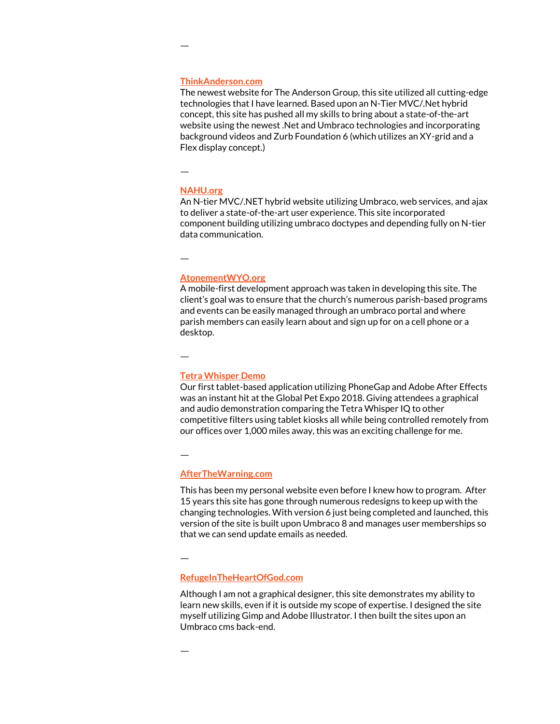#### **[ThinkAnderson.com](http://thinkanderson.com/)**

The newest website for The Anderson Group, this site utilized all cutting-edge technologies that I have learned. Based upon an N-Tier MVC/.Net hybrid concept, this site has pushed all my skills to bring about a state-of-the-art website using the newest .Net and Umbraco technologies and incorporating background videos and Zurb Foundation 6 (which utilizes an XY-grid and a Flex display concept.)

ㅡ

ㅡ

#### **[NAHU.org](https://nahu.org/)**

An N-tier MVC/.NET hybrid website utilizing Umbraco, web services, and ajax to deliver a state-of-the-art user experience. This site incorporated component building utilizing umbraco doctypes and depending fully on N-tier data communication.

ㅡ

#### **[AtonementWYO.org](http://atonementwyo.org/)**

A mobile-first development approach was taken in developing this site. The client's goal was to ensure that the church's numerous parish-based programs and events can be easily managed through an umbraco portal and where parish members can easily learn about and sign up for on a cell phone or a desktop.

ㅡ

#### **[Tetra Whisper Demo](https://www.facebook.com/pg/TetraProducts/photos/?tab=album&album_id=1635111163191892)**

Our first tablet-based application utilizing PhoneGap and Adobe After Effects was an instant hit at the Global Pet Expo 2018. Giving attendees a graphical and audio demonstration comparing the Tetra Whisper IQ to other competitive filters using tablet kiosks all while being controlled remotely from our offices over 1,000 miles away, this was an exciting challenge for me.

ㅡ

#### **[AfterTheWarning.com](https://afterthewarning.com/)**

This has been my personal website even before I knew how to program. After 15 years this site has gone through numerous redesigns to keep up with the changing technologies. With version 6 just being completed and launched, this version of the site is built upon Umbraco 8 and manages user memberships so that we can send update emails as needed.

ㅡ

#### **[RefugeInTheHeartOfGod.com](http://refugeintheheartofgod.com/)**

Although I am not a graphical designer, this site demonstrates my ability to learn new skills, even if it is outside my scope of expertise. I designed the site myself utilizing Gimp and Adobe Illustrator. I then built the sites upon an Umbraco cms back-end.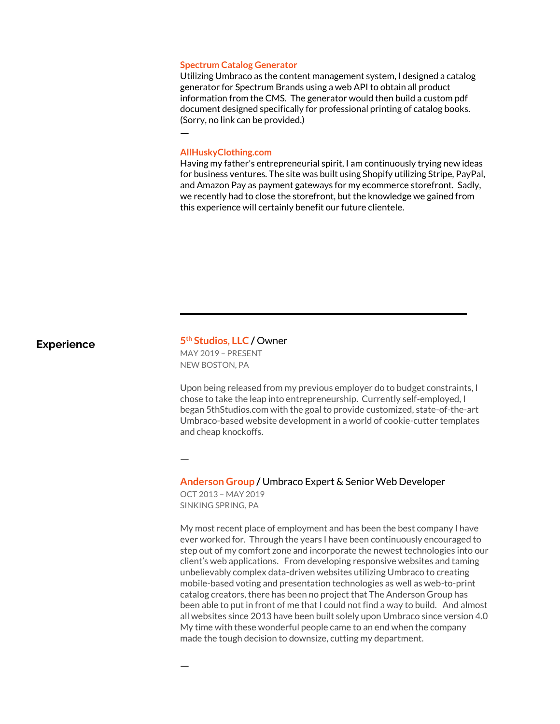#### **Spectrum Catalog Generator**

Utilizing Umbraco as the content management system, I designed a catalog generator for Spectrum Brands using a web API to obtain all product information from the CMS. The generator would then build a custom pdf document designed specifically for professional printing of catalog books. (Sorry, no link can be provided.)

#### **AllHuskyClothing.com**

ㅡ

Having my father's entrepreneurial spirit, I am continuously trying new ideas for business ventures. The site was built using Shopify utilizing Stripe, PayPal, and Amazon Pay as payment gateways for my ecommerce storefront. Sadly, we recently had to close the storefront, but the knowledge we gained from this experience will certainly benefit our future clientele.

#### **Experience**

#### **th Studios, LLC /** Owner MAY 2019 – PRESENT NEW BOSTON, PA

Upon being released from my previous employer do to budget constraints, I chose to take the leap into entrepreneurship. Currently self-employed, I began 5thStudios.com with the goal to provide customized, state-of-the-art Umbraco-based website development in a world of cookie-cutter templates and cheap knockoffs.

#### **Anderson Group /** Umbraco Expert & Senior Web Developer

OCT 2013 – MAY 2019 SINKING SPRING, PA

ㅡ

ㅡ

My most recent place of employment and has been the best company I have ever worked for. Through the years I have been continuously encouraged to step out of my comfort zone and incorporate the newest technologies into our client's web applications. From developing responsive websites and taming unbelievably complex data-driven websites utilizing Umbraco to creating mobile-based voting and presentation technologies as well as web-to-print catalog creators, there has been no project that The Anderson Group has been able to put in front of me that I could not find a way to build. And almost all websites since 2013 have been built solely upon Umbraco since version 4.0 My time with these wonderful people came to an end when the company made the tough decision to downsize, cutting my department.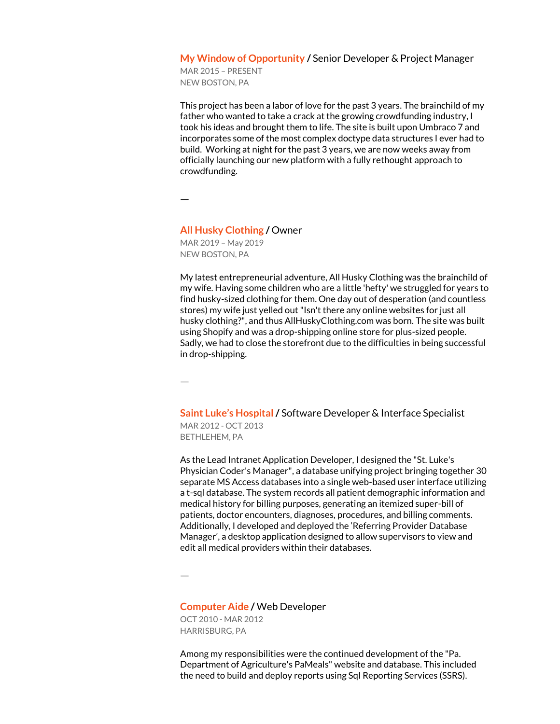#### **My Window of Opportunity /** Senior Developer & Project Manager

MAR 2015 – PRESENT NEW BOSTON, PA

This project has been a labor of love for the past 3 years. The brainchild of my father who wanted to take a crack at the growing crowdfunding industry, I took his ideas and brought them to life. The site is built upon Umbraco 7 and incorporates some of the most complex doctype data structures I ever had to build. Working at night for the past 3 years, we are now weeks away from officially launching our new platform with a fully rethought approach to crowdfunding.

ㅡ

#### **All Husky Clothing /** Owner

MAR 2019 – May 2019 NEW BOSTON, PA

My latest entrepreneurial adventure, All Husky Clothing was the brainchild of my wife. Having some children who are a little 'hefty' we struggled for years to find husky-sized clothing for them. One day out of desperation (and countless stores) my wife just yelled out "Isn't there any online websites for just all husky clothing?", and thus AllHuskyClothing.com was born. The site was built using Shopify and was a drop-shipping online store for plus-sized people. Sadly, we had to close the storefront due to the difficulties in being successful in drop-shipping.

ㅡ

**Saint Luke's Hospital /** Software Developer & Interface Specialist MAR 2012 - OCT 2013 BETHLEHEM, PA

As the Lead Intranet Application Developer, I designed the "St. Luke's Physician Coder's Manager", a database unifying project bringing together 30 separate MS Access databases into a single web-based user interface utilizing a t-sql database. The system records all patient demographic information and medical history for billing purposes, generating an itemized super-bill of patients, doctor encounters, diagnoses, procedures, and billing comments. Additionally, I developed and deployed the 'Referring Provider Database Manager', a desktop application designed to allow supervisors to view and edit all medical providers within their databases.

ㅡ

#### **Computer Aide /** Web Developer

OCT 2010 - MAR 2012 HARRISBURG, PA

Among my responsibilities were the continued development of the "Pa. Department of Agriculture's PaMeals" website and database. This included the need to build and deploy reports using Sql Reporting Services (SSRS).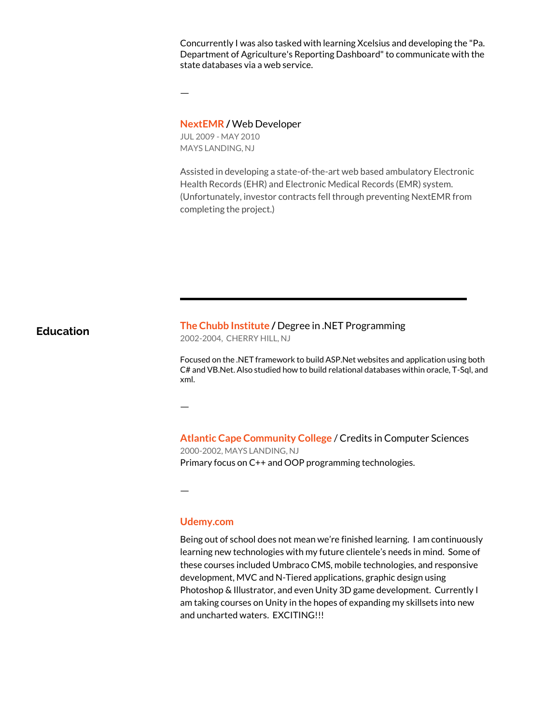Concurrently I was also tasked with learning Xcelsius and developing the "Pa. Department of Agriculture's Reporting Dashboard" to communicate with the state databases via a web service.

ㅡ

#### **NextEMR /** Web Developer

JUL 2009 - MAY 2010 MAYS LANDING, NJ

Assisted in developing a state-of-the-art web based ambulatory Electronic Health Records (EHR) and Electronic Medical Records (EMR) system. (Unfortunately, investor contracts fell through preventing NextEMR from completing the project.)

**Education The Chubb Institute / Degree in .NET Programming** 

2002-2004, CHERRY HILL, NJ

Focused on the .NET framework to build ASP.Net websites and application using both C# and VB.Net. Also studied how to build relational databases within oracle, T-Sql, and xml.

**Atlantic Cape Community College** / Credits in Computer Sciences 2000-2002, MAYS LANDING, NJ Primary focus on C++ and OOP programming technologies.

ㅡ

ㅡ

#### **Udemy.com**

Being out of school does not mean we're finished learning. I am continuously learning new technologies with my future clientele's needs in mind. Some of these courses included Umbraco CMS, mobile technologies, and responsive development, MVC and N-Tiered applications, graphic design using Photoshop & Illustrator, and even Unity 3D game development. Currently I am taking courses on Unity in the hopes of expanding my skillsets into new and uncharted waters. EXCITING!!!